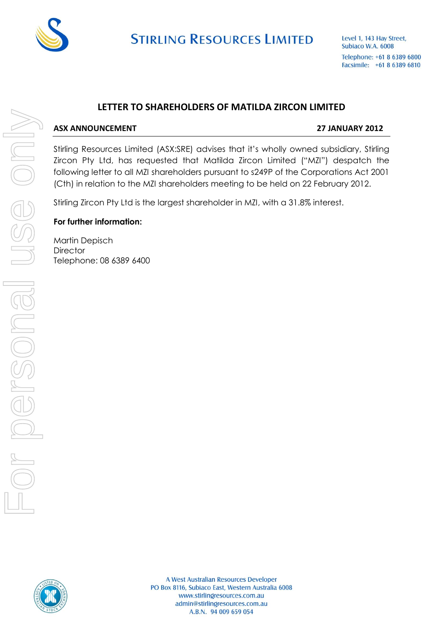

**STIRLING RESOURCES LIMITED** 

Level 1, 143 Hay Street, Subiaco W.A. 6008 Telephone: +61 8 6389 6800 Facsimile: +61 8 6389 6810

### **LETTER TO SHAREHOLDERS OF MATILDA ZIRCON LIMITED**

#### **ASX ANNOUNCEMENT 27 JANUARY 2012**

Stirling Resources Limited (ASX:SRE) advises that it's wholly owned subsidiary, Stirling Zircon Pty Ltd, has requested that Matilda Zircon Limited ("MZI") despatch the following letter to all MZI shareholders pursuant to s249P of the Corporations Act 2001 (Cth) in relation to the MZI shareholders meeting to be held on 22 February 2012.

Stirling Zircon Pty Ltd is the largest shareholder in MZI, with a 31.8% interest.

#### **For further information:**

Martin Depisch **Director** Telephone: 08 6389 6400

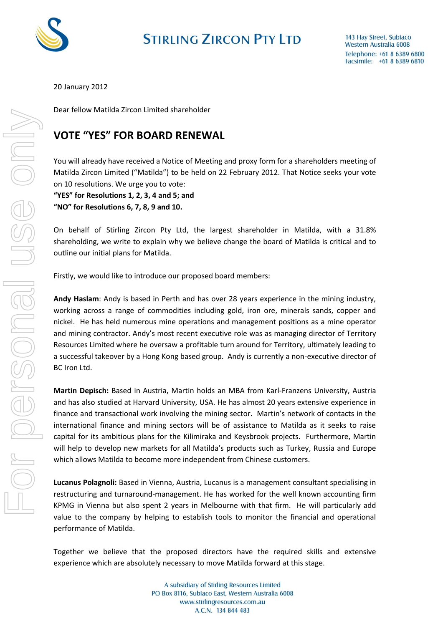

## **STIRLING ZIRCON PTY LTD**

20 January 2012

Dear fellow Matilda Zircon Limited shareholder

## **VOTE "YES" FOR BOARD RENEWAL**

You will already have received a Notice of Meeting and proxy form for a shareholders meeting of Matilda Zircon Limited ("Matilda") to be held on 22 February 2012. That Notice seeks your vote on 10 resolutions. We urge you to vote:

**"YES" for Resolutions 1, 2, 3, 4 and 5; and "NO" for Resolutions 6, 7, 8, 9 and 10.**

On behalf of Stirling Zircon Pty Ltd, the largest shareholder in Matilda, with a 31.8% shareholding, we write to explain why we believe change the board of Matilda is critical and to outline our initial plans for Matilda.

Firstly, we would like to introduce our proposed board members:

**Andy Haslam**: Andy is based in Perth and has over 28 years experience in the mining industry, working across a range of commodities including gold, iron ore, minerals sands, copper and nickel. He has held numerous mine operations and management positions as a mine operator and mining contractor. Andy's most recent executive role was as managing director of Territory Resources Limited where he oversaw a profitable turn around for Territory, ultimately leading to a successful takeover by a Hong Kong based group. Andy is currently a non-executive director of BC Iron Ltd.

**Martin Depisch:** Based in Austria, Martin holds an MBA from Karl-Franzens University, Austria and has also studied at Harvard University, USA. He has almost 20 years extensive experience in finance and transactional work involving the mining sector. Martin's network of contacts in the international finance and mining sectors will be of assistance to Matilda as it seeks to raise capital for its ambitious plans for the Kilimiraka and Keysbrook projects. Furthermore, Martin will help to develop new markets for all Matilda's products such as Turkey, Russia and Europe which allows Matilda to become more independent from Chinese customers.

**Lucanus Polagnoli:** Based in Vienna, Austria, Lucanus is a management consultant specialising in restructuring and turnaround-management. He has worked for the well known accounting firm KPMG in Vienna but also spent 2 years in Melbourne with that firm. He will particularly add value to the company by helping to establish tools to monitor the financial and operational performance of Matilda.

Together we believe that the proposed directors have the required skills and extensive experience which are absolutely necessary to move Matilda forward at this stage.

> A subsidiary of Stirling Resources Limited PO Box 8116, Subiaco East, Western Australia 6008 www.stirlingresources.com.au A.C.N. 134 844 483